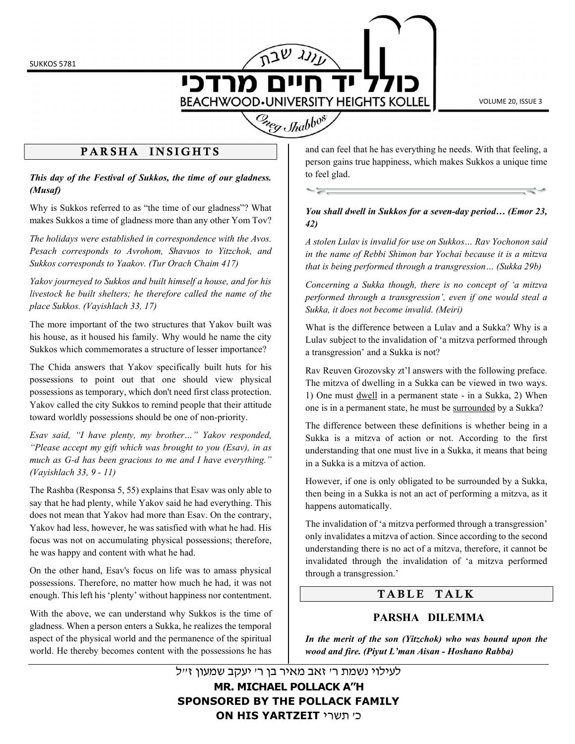SUKKOS 5781

מרדכי **BEACHWOOD·UNIVERSITY HEIGHTS KOLLEL** 

 $\overline{\phantom{a}}$ 

VOLUME 20, ISSUE 3

# Creg Shabbos

# PARSHA INSIGHTS

This day of the Festival of Sukkos, the time of our gladness. (Musaf)

Why is Sukkos referred to as "the time of our gladness"? What makes Sukkos a time of gladness more than any other Yom Tov?

The holidays were established in correspondence with the Avos. Pesach corresponds to Avrohom, Shavuos to Yitzchok, and Sukkos corresponds to Yaakov. (Tur Orach Chaim 417)

Yakov journeyed to Sukkos and built himself a house, and for his livestock he built shelters; he therefore called the name of the place Sukkos. (Vayishlach 33, 17)

The more important of the two structures that Yakov built was his house, as it housed his family. Why would he name the city Sukkos which commemorates a structure of lesser importance?

The Chida answers that Yakov specifically built huts for his possessions to point out that one should view physical possessions as temporary, which don't need first class protection. Yakov called the city Sukkos to remind people that their attitude toward worldly possessions should be one of non-priority.

Esav said, "I have plenty, my brother…" Yakov responded, "Please accept my gift which was brought to you (Esav), in as much as G-d has been gracious to me and I have everything." (Vayishlach 33, 9 - 11)

The Rashba (Responsa 5, 55) explains that Esav was only able to say that he had plenty, while Yakov said he had everything. This does not mean that Yakov had more than Esav. On the contrary, Yakov had less, however, he was satisfied with what he had. His focus was not on accumulating physical possessions; therefore, he was happy and content with what he had.

On the other hand, Esav's focus on life was to amass physical possessions. Therefore, no matter how much he had, it was not enough. This left his 'plenty' without happiness nor contentment.

With the above, we can understand why Sukkos is the time of gladness. When a person enters a Sukka, he realizes the temporal aspect of the physical world and the permanence of the spiritual world. He thereby becomes content with the possessions he has

and can feel that he has everything he needs. With that feeling, a person gains true happiness, which makes Sukkos a unique time to feel glad.

#### You shall dwell in Sukkos for a seven-day period… (Emor 23, 42)

A stolen Lulav is invalid for use on Sukkos… Rav Yochonon said in the name of Rebbi Shimon bar Yochai because it is a mitzva that is being performed through a transgression… (Sukka 29b)

Concerning a Sukka though, there is no concept of 'a mitzva performed through a transgression', even if one would steal a Sukka, it does not become invalid. (Meiri)

What is the difference between a Lulav and a Sukka? Why is a Lulav subject to the invalidation of 'a mitzva performed through a transgression' and a Sukka is not?

Rav Reuven Grozovsky zt'l answers with the following preface. The mitzva of dwelling in a Sukka can be viewed in two ways. 1) One must dwell in a permanent state - in a Sukka, 2) When one is in a permanent state, he must be surrounded by a Sukka?

The difference between these definitions is whether being in a Sukka is a mitzva of action or not. According to the first understanding that one must live in a Sukka, it means that being in a Sukka is a mitzva of action.

However, if one is only obligated to be surrounded by a Sukka, then being in a Sukka is not an act of performing a mitzva, as it happens automatically.

The invalidation of 'a mitzva performed through a transgression' only invalidates a mitzva of action. Since according to the second understanding there is no act of a mitzva, therefore, it cannot be invalidated through the invalidation of 'a mitzva performed through a transgression.'

# TABLE TALK

# PARSHA DILEMMA

In the merit of the son (Yitzchok) who was bound upon the wood and fire. (Piyut L'man Aisan - Hoshano Rabba)

לעילוי נשמת ר' זאב מאיר בן ר' יעקב שמעון ז"ל MR. MICHAEL POLLACK A"H SPONSORED BY THE POLLACK FAMILY ON HIS YARTZEIT כי תשרי